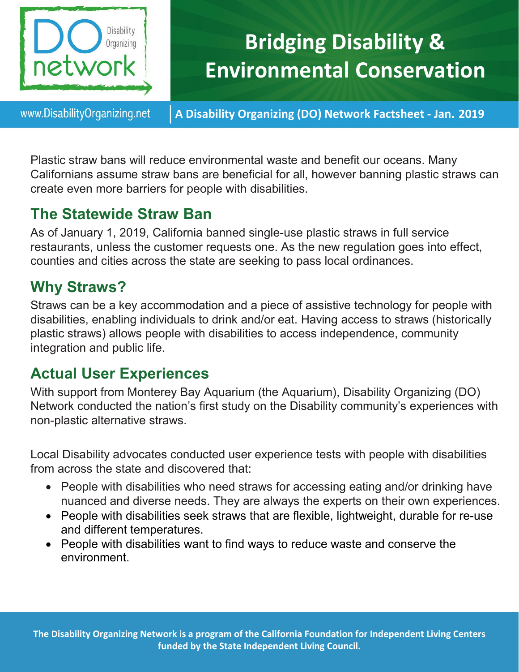

# **Bridging Disability & Environmental Conservation**

www.DisabilityOrganizing.net

**A Disability Organizing (DO) Network Factsheet - Jan. 2019**

Plastic straw bans will reduce environmental waste and benefit our oceans. Many Californians assume straw bans are beneficial for all, however banning plastic straws can create even more barriers for people with disabilities.

### **The Statewide Straw Ban**

As of January 1, 2019, California banned single-use plastic straws in full service restaurants, unless the customer requests one. As the new regulation goes into effect, counties and cities across the state are seeking to pass local ordinances.

## **Why Straws?**

Straws can be a key accommodation and a piece of assistive technology for people with disabilities, enabling individuals to drink and/or eat. Having access to straws (historically plastic straws) allows people with disabilities to access independence, community integration and public life.

## **Actual User Experiences**

With support from Monterey Bay Aquarium (the Aquarium), Disability Organizing (DO) Network conducted the nation's first study on the Disability community's experiences with non-plastic alternative straws.

Local Disability advocates conducted user experience tests with people with disabilities from across the state and discovered that:

- People with disabilities who need straws for accessing eating and/or drinking have nuanced and diverse needs. They are always the experts on their own experiences.
- People with disabilities seek straws that are flexible, lightweight, durable for re-use and different temperatures.
- People with disabilities want to find ways to reduce waste and conserve the environment.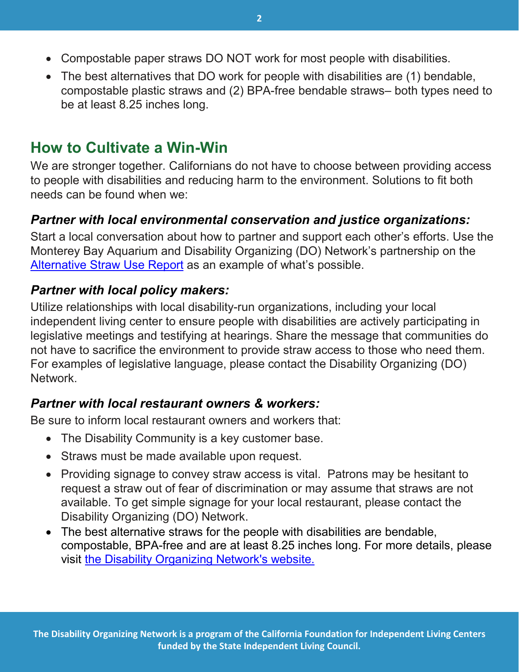- Compostable paper straws DO NOT work for most people with disabilities.
- The best alternatives that DO work for people with disabilities are (1) bendable, compostable plastic straws and (2) BPA-free bendable straws– both types need to be at least 8.25 inches long.

## **How to Cultivate a Win-Win**

We are stronger together. Californians do not have to choose between providing access to people with disabilities and reducing harm to the environment. Solutions to fit both needs can be found when we:

#### *Partner with local environmental conservation and justice organizations:*

Start a local conversation about how to partner and support each other's efforts. Use the Monterey Bay Aquarium and Disability Organizing (DO) Network's partnership on the [Alternative Straw Use Report](http://disabilityorganizing.net/uploads/donet-straw-report-012319-ACCESSIBLE.pdf) as an example of what's possible.

#### *Partner with local policy makers:*

Utilize relationships with local disability-run organizations, including your local independent living center to ensure people with disabilities are actively participating in legislative meetings and testifying at hearings. Share the message that communities do not have to sacrifice the environment to provide straw access to those who need them. For examples of legislative language, please contact the Disability Organizing (DO) Network.

#### *Partner with local restaurant owners & workers:*

Be sure to inform local restaurant owners and workers that:

- The Disability Community is a key customer base.
- Straws must be made available upon request.
- Providing signage to convey straw access is vital. Patrons may be hesitant to request a straw out of fear of discrimination or may assume that straws are not available. To get simple signage for your local restaurant, please contact the Disability Organizing (DO) Network.
- The best alternative straws for the people with disabilities are bendable, compostable, BPA-free and are at least 8.25 inches long. For more details, please visit [the Disability Organizing Network's website.](http://www.disabilityorganizing.net/)